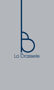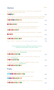| <b>Starters</b>                                                                                                                                      | $p \vee p \in$ |
|------------------------------------------------------------------------------------------------------------------------------------------------------|----------------|
| "Brasserie" salad: fresh salad, tomatoes, vinegar onions, marinated tuna,<br>quail eggs, avocado and tuna sauce                                      |                |
| 66096                                                                                                                                                | 14,50          |
| Caesar salad: low temperature cooked chicken, fresh salad, cherry tomatoes,<br>butter croutons, parmesan shavings, quail eggs and anchovy mayonnaise |                |
| 6000000000                                                                                                                                           | 15,00          |
| Bellota iberian ham, fresh tomatoes bruschetta, garlic and basil<br>あのひのののの                                                                          | 15,50          |
| Warm goat cheese salad: fresh salad, roasted macadamia nuts,<br>tomatoes, green asparagus, onions, goat cheese and honey                             |                |
| 60000000                                                                                                                                             | 15,00          |
| beef carpaccio, parmesan shavings, arugula and balsamic vinaigrette                                                                                  |                |
| あめりの                                                                                                                                                 | 19,50          |
| Parmesan croquettes, crunchy salad, tomato sauce and candied onions                                                                                  |                |
| 6000000000                                                                                                                                           | 13,00          |
| Soup / Cream / Gazpacho of the day (consult with the maitre)                                                                                         | 8,40           |
| $***$<br>We give importance to your wellbeing, the products used are<br>selected and some grown in our own orchard.                                  |                |
| Sous vide cooked carrots salad: avocado cream, red onions in vinegar<br>and Greek Tzatziki sauce / Healthy food                                      |                |
| 600000900                                                                                                                                            | 13,50          |
| Quinoa salad: quinoa, fresh herbs, cucumber, cherry tomatoes, red<br>onions / Healthy food                                                           |                |
| 60000000                                                                                                                                             | 13,90          |
| Bruschetta with grilled vegetables: eggplant, tomatoes, zucchini,<br>arugula and pine nuts / Healthy food                                            |                |
| 6000000000                                                                                                                                           | 13,00          |
|                                                                                                                                                      |                |
| Pasta                                                                                                                                                |                |
| Pappardelles, shellfish, broccoli and reduced fish sauce                                                                                             |                |
| <b>@800@000000</b>                                                                                                                                   | 15,00          |
| Ricotta ravioli with cream, tomatoes and fresh herbs                                                                                                 |                |
| 0000000000                                                                                                                                           | 13,50          |
| Spaghetti / Macaroni: with bolognese sauce or homemade carbonara<br>6000009000                                                                       | 13,50          |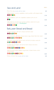| Sea and Land                                                                                             | pvp { |
|----------------------------------------------------------------------------------------------------------|-------|
| Fish of the day (consult with the maitre)                                                                | S/M   |
| Grilled chicken, crunchy vegetables, creamy potato with belgian butter<br>ありゆのら                          | 17,50 |
| beef medallions with mini vegetables sautéed with olive oil                                              |       |
| 参加                                                                                                       | 23,50 |
| Grilled Salmon: tomato and canarian potatoes salad, lemon juice<br>and spring onions foam / Healthy food |       |
| ありゃらゆむ                                                                                                   | 22,00 |
| <u> Between Bread and Bread</u>                                                                          |       |
| Croque Monsieur with ham cheese and fresh salad<br>ありめらゆら                                                |       |
|                                                                                                          | 13,00 |
| Club sandwich with ham, cheese, bacon, egg, chicken fillet, fresh salad<br>000900000                     | 14,50 |
| Tuna and mayonnaise, lettuce heart and fresh tomatoes sandwich                                           |       |
| めのひめひののゆ                                                                                                 | 13,00 |
| Smoked salmon bagels with lemon fresh cheese, red onions<br>and cucumber                                 |       |
| <b>@@@@&amp;@O@@@@</b>                                                                                   | 13,50 |
| 100% Pure beef burger, paprika mayonnaise, smoked cheese, onions<br>and tomatoes                         |       |
| 6009660000                                                                                               | 18,00 |
| Portion of french fries (consult with the maitre)                                                        | 3,60  |